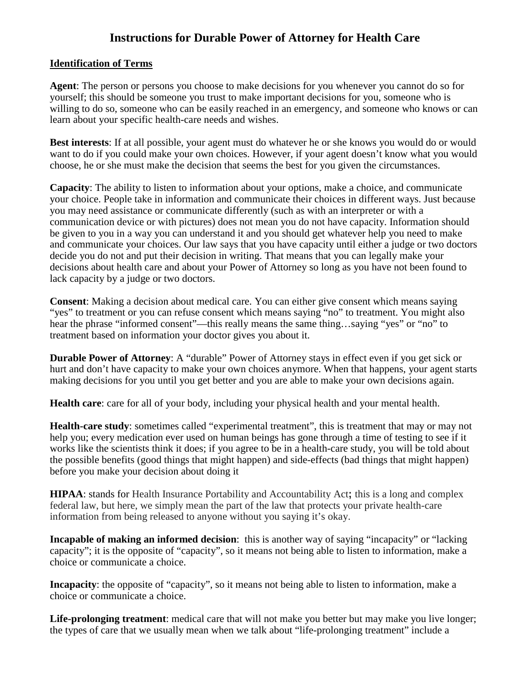# **Instructions for Durable Power of Attorney for Health Care**

### **Identification of Terms**

**Agent**: The person or persons you choose to make decisions for you whenever you cannot do so for yourself; this should be someone you trust to make important decisions for you, someone who is willing to do so, someone who can be easily reached in an emergency, and someone who knows or can learn about your specific health-care needs and wishes.

**Best interests**: If at all possible, your agent must do whatever he or she knows you would do or would want to do if you could make your own choices. However, if your agent doesn't know what you would choose, he or she must make the decision that seems the best for you given the circumstances.

**Capacity**: The ability to listen to information about your options, make a choice, and communicate your choice. People take in information and communicate their choices in different ways. Just because you may need assistance or communicate differently (such as with an interpreter or with a communication device or with pictures) does not mean you do not have capacity. Information should be given to you in a way you can understand it and you should get whatever help you need to make and communicate your choices. Our law says that you have capacity until either a judge or two doctors decide you do not and put their decision in writing. That means that you can legally make your decisions about health care and about your Power of Attorney so long as you have not been found to lack capacity by a judge or two doctors.

**Consent**: Making a decision about medical care. You can either give consent which means saying "yes" to treatment or you can refuse consent which means saying "no" to treatment. You might also hear the phrase "informed consent"—this really means the same thing...saying "yes" or "no" to treatment based on information your doctor gives you about it.

**Durable Power of Attorney:** A "durable" Power of Attorney stays in effect even if you get sick or hurt and don't have capacity to make your own choices anymore. When that happens, your agent starts making decisions for you until you get better and you are able to make your own decisions again.

**Health care**: care for all of your body, including your physical health and your mental health.

**Health-care study**: sometimes called "experimental treatment", this is treatment that may or may not help you; every medication ever used on human beings has gone through a time of testing to see if it works like the scientists think it does; if you agree to be in a health-care study, you will be told about the possible benefits (good things that might happen) and side-effects (bad things that might happen) before you make your decision about doing it

**HIPAA**: stands for Health Insurance Portability and Accountability Act**;** this is a long and complex federal law, but here, we simply mean the part of the law that protects your private health-care information from being released to anyone without you saying it's okay.

**Incapable of making an informed decision**: this is another way of saying "incapacity" or "lacking capacity"; it is the opposite of "capacity", so it means not being able to listen to information, make a choice or communicate a choice.

**Incapacity**: the opposite of "capacity", so it means not being able to listen to information, make a choice or communicate a choice.

**Life-prolonging treatment**: medical care that will not make you better but may make you live longer; the types of care that we usually mean when we talk about "life-prolonging treatment" include a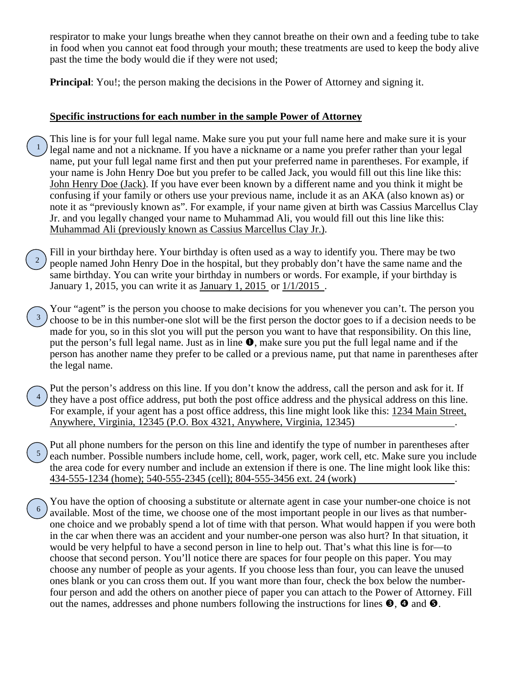respirator to make your lungs breathe when they cannot breathe on their own and a feeding tube to take in food when you cannot eat food through your mouth; these treatments are used to keep the body alive past the time the body would die if they were not used;

**Principal:** You!; the person making the decisions in the Power of Attorney and signing it.

### **Specific instructions for each number in the sample Power of Attorney**

- This line is for your full legal name. Make sure you put your full name here and make sure it is your legal name and not a nickname. If you have a nickname or a name you prefer rather than your legal name, put your full legal name first and then put your preferred name in parentheses. For example, if your name is John Henry Doe but you prefer to be called Jack, you would fill out this line like this: John Henry Doe (Jack). If you have ever been known by a different name and you think it might be confusing if your family or others use your previous name, include it as an AKA (also known as) or note it as "previously known as". For example, if your name given at birth was Cassius Marcellus Clay Jr. and you legally changed your name to Muhammad Ali, you would fill out this line like this: Muhammad Ali (previously known as Cassius Marcellus Clay Jr.). 1
- Fill in your birthday here. Your birthday is often used as a way to identify you. There may be two people named John Henry Doe in the hospital, but they probably don't have the same name and the same birthday. You can write your birthday in numbers or words. For example, if your birthday is January 1, 2015, you can write it as January 1, 2015 or 1/1/2015 . 2
- Your "agent" is the person you choose to make decisions for you whenever you can't. The person you choose to be in this number-one slot will be the first person the doctor goes to if a decision needs to be made for you, so in this slot you will put the person you want to have that responsibility. On this line, put the person's full legal name. Just as in line  $\bullet$ , make sure you put the full legal name and if the person has another name they prefer to be called or a previous name, put that name in parentheses after the legal name. 3
- Put the person's address on this line. If you don't know the address, call the person and ask for it. If they have a post office address, put both the post office address and the physical address on this line. For example, if your agent has a post office address, this line might look like this: 1234 Main Street, Anywhere, Virginia, 12345 (P.O. Box 4321, Anywhere, Virginia, 12345) . 4
- Put all phone numbers for the person on this line and identify the type of number in parentheses after each number. Possible numbers include home, cell, work, pager, work cell, etc. Make sure you include the area code for every number and include an extension if there is one. The line might look like this: 434-555-1234 (home); 540-555-2345 (cell); 804-555-3456 ext. 24 (work) . 5
- You have the option of choosing a substitute or alternate agent in case your number-one choice is not available. Most of the time, we choose one of the most important people in our lives as that numberone choice and we probably spend a lot of time with that person. What would happen if you were both in the car when there was an accident and your number-one person was also hurt? In that situation, it would be very helpful to have a second person in line to help out. That's what this line is for—to choose that second person. You'll notice there are spaces for four people on this paper. You may choose any number of people as your agents. If you choose less than four, you can leave the unused ones blank or you can cross them out. If you want more than four, check the box below the numberfour person and add the others on another piece of paper you can attach to the Power of Attorney. Fill out the names, addresses and phone numbers following the instructions for lines  $\Theta$ ,  $\Theta$  and  $\Theta$ . 6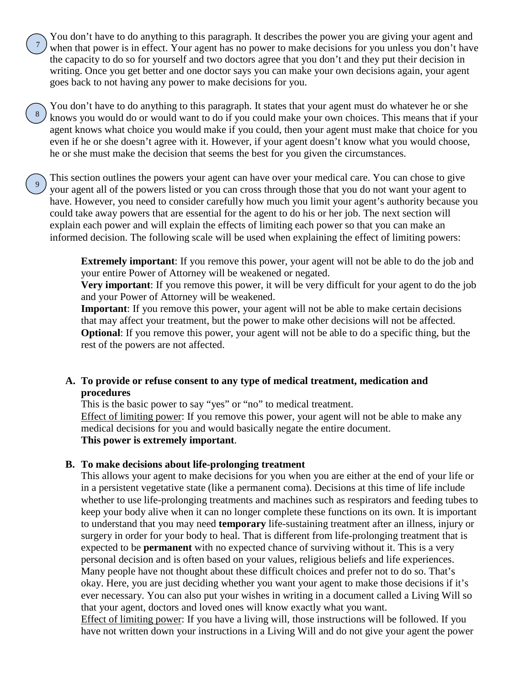You don't have to do anything to this paragraph. It describes the power you are giving your agent and when that power is in effect. Your agent has no power to make decisions for you unless you don't have the capacity to do so for yourself and two doctors agree that you don't and they put their decision in writing. Once you get better and one doctor says you can make your own decisions again, your agent goes back to not having any power to make decisions for you.

7

8

You don't have to do anything to this paragraph. It states that your agent must do whatever he or she knows you would do or would want to do if you could make your own choices. This means that if your agent knows what choice you would make if you could, then your agent must make that choice for you even if he or she doesn't agree with it. However, if your agent doesn't know what you would choose, he or she must make the decision that seems the best for you given the circumstances.

This section outlines the powers your agent can have over your medical care. You can chose to give your agent all of the powers listed or you can cross through those that you do not want your agent to have. However, you need to consider carefully how much you limit your agent's authority because you could take away powers that are essential for the agent to do his or her job. The next section will explain each power and will explain the effects of limiting each power so that you can make an informed decision. The following scale will be used when explaining the effect of limiting powers: 9

> **Extremely important**: If you remove this power, your agent will not be able to do the job and your entire Power of Attorney will be weakened or negated.

> **Very important**: If you remove this power, it will be very difficult for your agent to do the job and your Power of Attorney will be weakened.

**Important**: If you remove this power, your agent will not be able to make certain decisions that may affect your treatment, but the power to make other decisions will not be affected. **Optional:** If you remove this power, your agent will not be able to do a specific thing, but the rest of the powers are not affected.

## **A. To provide or refuse consent to any type of medical treatment, medication and procedures**

This is the basic power to say "yes" or "no" to medical treatment. Effect of limiting power: If you remove this power, your agent will not be able to make any medical decisions for you and would basically negate the entire document. **This power is extremely important**.

### **B. To make decisions about life-prolonging treatment**

This allows your agent to make decisions for you when you are either at the end of your life or in a persistent vegetative state (like a permanent coma). Decisions at this time of life include whether to use life-prolonging treatments and machines such as respirators and feeding tubes to keep your body alive when it can no longer complete these functions on its own. It is important to understand that you may need **temporary** life-sustaining treatment after an illness, injury or surgery in order for your body to heal. That is different from life-prolonging treatment that is expected to be **permanent** with no expected chance of surviving without it. This is a very personal decision and is often based on your values, religious beliefs and life experiences. Many people have not thought about these difficult choices and prefer not to do so. That's okay. Here, you are just deciding whether you want your agent to make those decisions if it's ever necessary. You can also put your wishes in writing in a document called a Living Will so that your agent, doctors and loved ones will know exactly what you want.

Effect of limiting power: If you have a living will, those instructions will be followed. If you have not written down your instructions in a Living Will and do not give your agent the power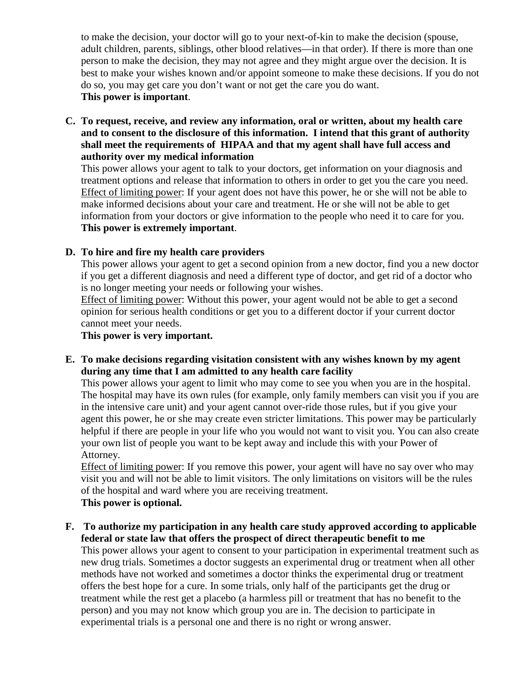to make the decision, your doctor will go to your next-of-kin to make the decision (spouse, adult children, parents, siblings, other blood relatives—in that order). If there is more than one person to make the decision, they may not agree and they might argue over the decision. It is best to make your wishes known and/or appoint someone to make these decisions. If you do not do so, you may get care you don't want or not get the care you do want. **This power is important**.

**C. To request, receive, and review any information, oral or written, about my health care and to consent to the disclosure of this information. I intend that this grant of authority shall meet the requirements of HIPAA and that my agent shall have full access and authority over my medical information** 

This power allows your agent to talk to your doctors, get information on your diagnosis and treatment options and release that information to others in order to get you the care you need. Effect of limiting power: If your agent does not have this power, he or she will not be able to make informed decisions about your care and treatment. He or she will not be able to get information from your doctors or give information to the people who need it to care for you. **This power is extremely important**.

## **D. To hire and fire my health care providers**

This power allows your agent to get a second opinion from a new doctor, find you a new doctor if you get a different diagnosis and need a different type of doctor, and get rid of a doctor who is no longer meeting your needs or following your wishes.

Effect of limiting power: Without this power, your agent would not be able to get a second opinion for serious health conditions or get you to a different doctor if your current doctor cannot meet your needs.

**This power is very important.**

**E. To make decisions regarding visitation consistent with any wishes known by my agent during any time that I am admitted to any health care facility**

This power allows your agent to limit who may come to see you when you are in the hospital. The hospital may have its own rules (for example, only family members can visit you if you are in the intensive care unit) and your agent cannot over-ride those rules, but if you give your agent this power, he or she may create even stricter limitations. This power may be particularly helpful if there are people in your life who you would not want to visit you. You can also create your own list of people you want to be kept away and include this with your Power of Attorney.

Effect of limiting power: If you remove this power, your agent will have no say over who may visit you and will not be able to limit visitors. The only limitations on visitors will be the rules of the hospital and ward where you are receiving treatment. **This power is optional.**

### **F. To authorize my participation in any health care study approved according to applicable federal or state law that offers the prospect of direct therapeutic benefit to me**

This power allows your agent to consent to your participation in experimental treatment such as new drug trials. Sometimes a doctor suggests an experimental drug or treatment when all other methods have not worked and sometimes a doctor thinks the experimental drug or treatment offers the best hope for a cure. In some trials, only half of the participants get the drug or treatment while the rest get a placebo (a harmless pill or treatment that has no benefit to the person) and you may not know which group you are in. The decision to participate in experimental trials is a personal one and there is no right or wrong answer.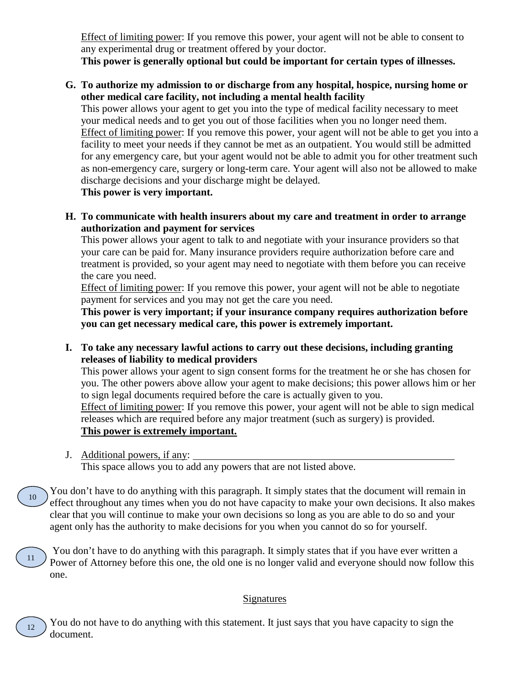Effect of limiting power: If you remove this power, your agent will not be able to consent to any experimental drug or treatment offered by your doctor.

**This power is generally optional but could be important for certain types of illnesses.**

**G. To authorize my admission to or discharge from any hospital, hospice, nursing home or other medical care facility, not including a mental health facility** 

This power allows your agent to get you into the type of medical facility necessary to meet your medical needs and to get you out of those facilities when you no longer need them. Effect of limiting power: If you remove this power, your agent will not be able to get you into a facility to meet your needs if they cannot be met as an outpatient. You would still be admitted for any emergency care, but your agent would not be able to admit you for other treatment such as non-emergency care, surgery or long-term care. Your agent will also not be allowed to make discharge decisions and your discharge might be delayed.

**This power is very important.**

**H. To communicate with health insurers about my care and treatment in order to arrange authorization and payment for services**

This power allows your agent to talk to and negotiate with your insurance providers so that your care can be paid for. Many insurance providers require authorization before care and treatment is provided, so your agent may need to negotiate with them before you can receive the care you need.

Effect of limiting power: If you remove this power, your agent will not be able to negotiate payment for services and you may not get the care you need.

**This power is very important; if your insurance company requires authorization before you can get necessary medical care, this power is extremely important.**

**I. To take any necessary lawful actions to carry out these decisions, including granting releases of liability to medical providers**

This power allows your agent to sign consent forms for the treatment he or she has chosen for you. The other powers above allow your agent to make decisions; this power allows him or her to sign legal documents required before the care is actually given to you.

Effect of limiting power: If you remove this power, your agent will not be able to sign medical releases which are required before any major treatment (such as surgery) is provided. **This power is extremely important.**

J. Additional powers, if any:

12

This space allows you to add any powers that are not listed above.

You don't have to do anything with this paragraph. It simply states that the document will remain in effect throughout any times when you do not have capacity to make your own decisions. It also makes clear that you will continue to make your own decisions so long as you are able to do so and your agent only has the authority to make decisions for you when you cannot do so for yourself. 10

You don't have to do anything with this paragraph. It simply states that if you have ever written a Power of Attorney before this one, the old one is no longer valid and everyone should now follow this one. 11

## **Signatures**

You do not have to do anything with this statement. It just says that you have capacity to sign the document.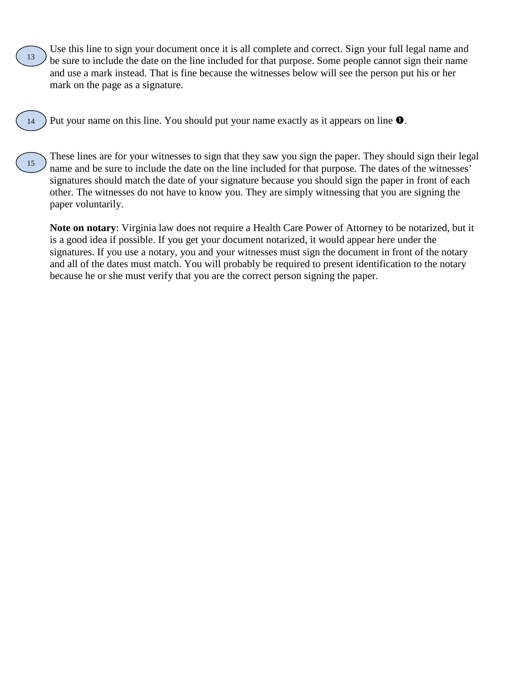Use this line to sign your document once it is all complete and correct. Sign your full legal name and be sure to include the date on the line included for that purpose. Some people cannot sign their name and use a mark instead. That is fine because the witnesses below will see the person put his or her mark on the page as a signature. 13

Put your name on this line. You should put your name exactly as it appears on line  $\bullet$ . 14

These lines are for your witnesses to sign that they saw you sign the paper. They should sign their legal name and be sure to include the date on the line included for that purpose. The dates of the witnesses' signatures should match the date of your signature because you should sign the paper in front of each other. The witnesses do not have to know you. They are simply witnessing that you are signing the paper voluntarily. 15

**Note on notary**: Virginia law does not require a Health Care Power of Attorney to be notarized, but it is a good idea if possible. If you get your document notarized, it would appear here under the signatures. If you use a notary, you and your witnesses must sign the document in front of the notary and all of the dates must match. You will probably be required to present identification to the notary because he or she must verify that you are the correct person signing the paper.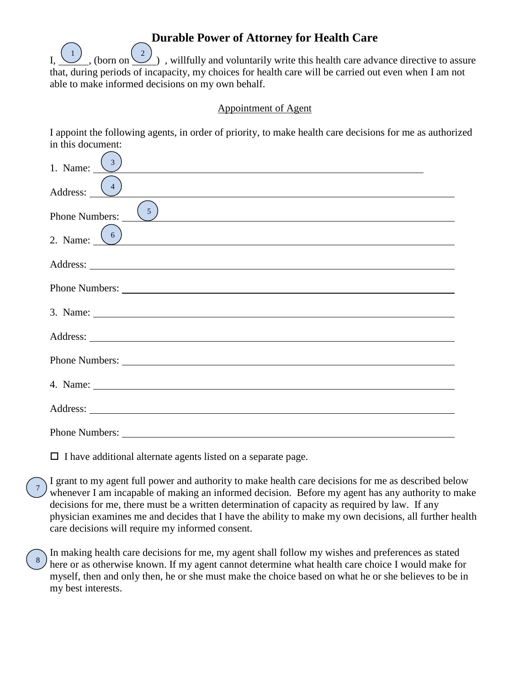## **Durable Power of Attorney for Health Care**

 $\frac{2}{\sqrt{2}}$ , willfully and voluntarily write this health care advance directive to assure that, during periods of incapacity, my choices for health care will be carried out even when I am not able to make informed decisions on my own behalf.  $,$  (born on  $\backslash$ 

#### Appointment of Agent

I appoint the following agents, in order of priority, to make health care decisions for me as authorized in this document:

| 1. Name: $\frac{3}{2}$                     |
|--------------------------------------------|
| Address: $\begin{pmatrix} 4 \end{pmatrix}$ |
| Phone Numbers: $\sqrt{\frac{5}{2}}$        |
| 2. Name: $\begin{pmatrix} 6 \end{pmatrix}$ |
|                                            |
|                                            |
|                                            |
|                                            |
|                                            |
|                                            |
|                                            |
|                                            |

 $\Box$  I have additional alternate agents listed on a separate page.

7

8

I grant to my agent full power and authority to make health care decisions for me as described below whenever I am incapable of making an informed decision. Before my agent has any authority to make decisions for me, there must be a written determination of capacity as required by law. If any physician examines me and decides that I have the ability to make my own decisions, all further health care decisions will require my informed consent.

In making health care decisions for me, my agent shall follow my wishes and preferences as stated here or as otherwise known. If my agent cannot determine what health care choice I would make for myself, then and only then, he or she must make the choice based on what he or she believes to be in my best interests.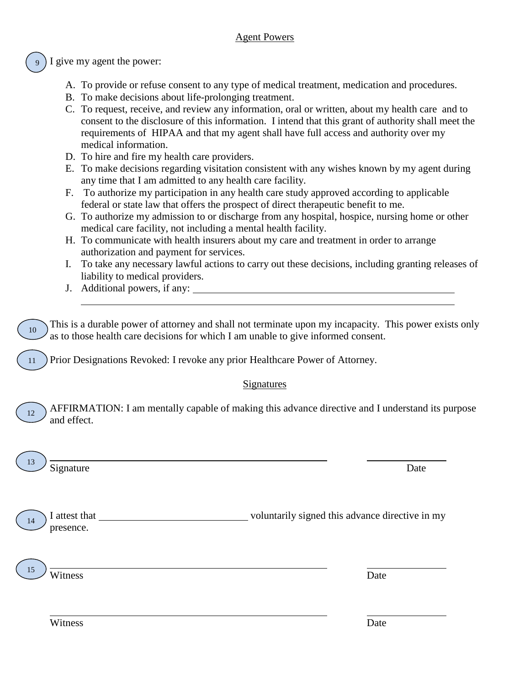I give my agent the power: 9

- A. To provide or refuse consent to any type of medical treatment, medication and procedures.
- B. To make decisions about life-prolonging treatment.
- C. To request, receive, and review any information, oral or written, about my health care and to consent to the disclosure of this information. I intend that this grant of authority shall meet the requirements of HIPAA and that my agent shall have full access and authority over my medical information.
- D. To hire and fire my health care providers.
- E. To make decisions regarding visitation consistent with any wishes known by my agent during any time that I am admitted to any health care facility.
- F. To authorize my participation in any health care study approved according to applicable federal or state law that offers the prospect of direct therapeutic benefit to me.
- G. To authorize my admission to or discharge from any hospital, hospice, nursing home or other medical care facility, not including a mental health facility.
- H. To communicate with health insurers about my care and treatment in order to arrange authorization and payment for services.
- I. To take any necessary lawful actions to carry out these decisions, including granting releases of liability to medical providers.
- J. Additional powers, if any:

| 10 | This is a durable power of attorney and shall not terminate upon my incapacity. This power exists only<br>as to those health care decisions for which I am unable to give informed consent.<br>Prior Designations Revoked: I revoke any prior Healthcare Power of Attorney. |                                                 |
|----|-----------------------------------------------------------------------------------------------------------------------------------------------------------------------------------------------------------------------------------------------------------------------------|-------------------------------------------------|
|    | <b>Signatures</b>                                                                                                                                                                                                                                                           |                                                 |
| 12 | AFFIRMATION: I am mentally capable of making this advance directive and I understand its purpose<br>and effect.                                                                                                                                                             |                                                 |
|    | Signature                                                                                                                                                                                                                                                                   | Date                                            |
|    | I attest that<br>presence.                                                                                                                                                                                                                                                  | voluntarily signed this advance directive in my |
|    | Witness                                                                                                                                                                                                                                                                     | Date                                            |
|    | Witness                                                                                                                                                                                                                                                                     | Date                                            |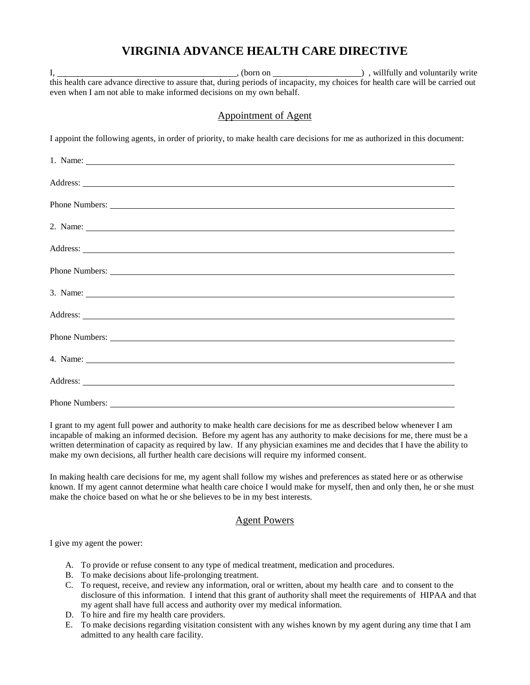# **VIRGINIA ADVANCE HEALTH CARE DIRECTIVE**

|                                                                      |                                                                                                                                                                                                                                                                                            | this health care advance directive to assure that, during periods of incapacity, my choices for health care will be carried out |
|----------------------------------------------------------------------|--------------------------------------------------------------------------------------------------------------------------------------------------------------------------------------------------------------------------------------------------------------------------------------------|---------------------------------------------------------------------------------------------------------------------------------|
| even when I am not able to make informed decisions on my own behalf. |                                                                                                                                                                                                                                                                                            |                                                                                                                                 |
|                                                                      |                                                                                                                                                                                                                                                                                            |                                                                                                                                 |
|                                                                      | Appointment of Agent                                                                                                                                                                                                                                                                       |                                                                                                                                 |
|                                                                      |                                                                                                                                                                                                                                                                                            |                                                                                                                                 |
|                                                                      | I appoint the following agents, in order of priority, to make health care decisions for me as authorized in this document:                                                                                                                                                                 |                                                                                                                                 |
|                                                                      |                                                                                                                                                                                                                                                                                            |                                                                                                                                 |
|                                                                      | 1. Name: $\frac{1}{2}$ and $\frac{1}{2}$ and $\frac{1}{2}$ and $\frac{1}{2}$ and $\frac{1}{2}$ and $\frac{1}{2}$ and $\frac{1}{2}$ and $\frac{1}{2}$ and $\frac{1}{2}$ and $\frac{1}{2}$ and $\frac{1}{2}$ and $\frac{1}{2}$ and $\frac{1}{2}$ and $\frac{1}{2}$ and $\frac{1}{2}$ and $\$ |                                                                                                                                 |
|                                                                      |                                                                                                                                                                                                                                                                                            |                                                                                                                                 |
|                                                                      | Address: Note that the contract of the contract of the contract of the contract of the contract of the contract of the contract of the contract of the contract of the contract of the contract of the contract of the contrac                                                             |                                                                                                                                 |
|                                                                      |                                                                                                                                                                                                                                                                                            |                                                                                                                                 |
|                                                                      |                                                                                                                                                                                                                                                                                            |                                                                                                                                 |
|                                                                      |                                                                                                                                                                                                                                                                                            |                                                                                                                                 |
|                                                                      | 2. Name:                                                                                                                                                                                                                                                                                   |                                                                                                                                 |
|                                                                      |                                                                                                                                                                                                                                                                                            |                                                                                                                                 |
|                                                                      | Address: National Address: National Address: National Address: National Address: National Address: National Address: National Address: National Address: National Address: National Address: National Address: National Addres                                                             |                                                                                                                                 |
|                                                                      |                                                                                                                                                                                                                                                                                            |                                                                                                                                 |
|                                                                      |                                                                                                                                                                                                                                                                                            |                                                                                                                                 |
|                                                                      | $3. Name: ____________$                                                                                                                                                                                                                                                                    |                                                                                                                                 |
|                                                                      |                                                                                                                                                                                                                                                                                            |                                                                                                                                 |
|                                                                      | Address: Address: Address: Address: Address: Address: Address: Address: Address: Address: Address: Address: Address: Address: Address: Address: Address: Address: Address: Address: Address: Address: Address: Address: Addres                                                             |                                                                                                                                 |
|                                                                      |                                                                                                                                                                                                                                                                                            |                                                                                                                                 |
|                                                                      |                                                                                                                                                                                                                                                                                            |                                                                                                                                 |
|                                                                      |                                                                                                                                                                                                                                                                                            |                                                                                                                                 |
|                                                                      | 4. Name:                                                                                                                                                                                                                                                                                   |                                                                                                                                 |
|                                                                      |                                                                                                                                                                                                                                                                                            |                                                                                                                                 |
|                                                                      | Address: National Address: National Address: National Address: National Address: National Address: National Address: National Address: National Address: National Address: National Address: National Address: National Addres                                                             |                                                                                                                                 |
|                                                                      |                                                                                                                                                                                                                                                                                            |                                                                                                                                 |
| Phone Numbers:                                                       |                                                                                                                                                                                                                                                                                            |                                                                                                                                 |

I grant to my agent full power and authority to make health care decisions for me as described below whenever I am incapable of making an informed decision. Before my agent has any authority to make decisions for me, there must be a written determination of capacity as required by law. If any physician examines me and decides that I have the ability to make my own decisions, all further health care decisions will require my informed consent.

In making health care decisions for me, my agent shall follow my wishes and preferences as stated here or as otherwise known. If my agent cannot determine what health care choice I would make for myself, then and only then, he or she must make the choice based on what he or she believes to be in my best interests.

## Agent Powers

I give my agent the power:

- A. To provide or refuse consent to any type of medical treatment, medication and procedures.
- B. To make decisions about life-prolonging treatment.
- C. To request, receive, and review any information, oral or written, about my health care and to consent to the disclosure of this information. I intend that this grant of authority shall meet the requirements of HIPAA and that my agent shall have full access and authority over my medical information.
- D. To hire and fire my health care providers.
- E. To make decisions regarding visitation consistent with any wishes known by my agent during any time that I am admitted to any health care facility.